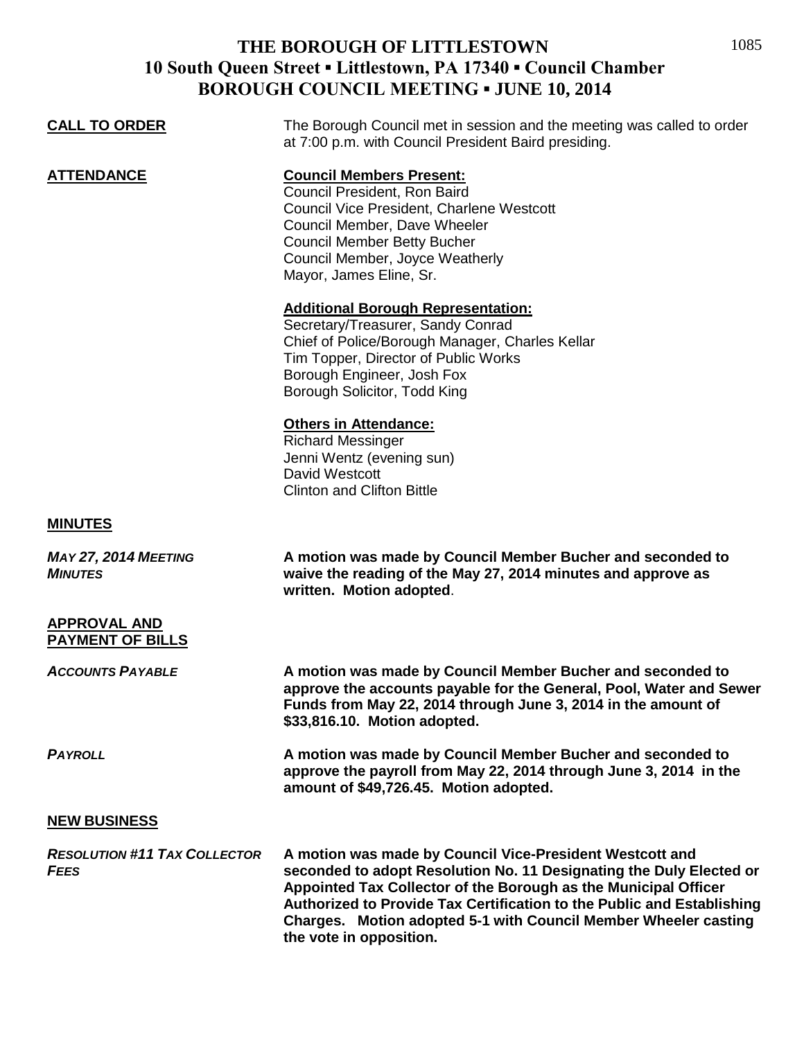## **THE BOROUGH OF LITTLESTOWN 10 South Queen Street ▪ Littlestown, PA 17340 ▪ Council Chamber BOROUGH COUNCIL MEETING ▪ JUNE 10, 2014**

| <b>CALL TO ORDER</b>                               | The Borough Council met in session and the meeting was called to order<br>at 7:00 p.m. with Council President Baird presiding.                                                                                                                                                                                                                                             |
|----------------------------------------------------|----------------------------------------------------------------------------------------------------------------------------------------------------------------------------------------------------------------------------------------------------------------------------------------------------------------------------------------------------------------------------|
| <b>ATTENDANCE</b>                                  | <b>Council Members Present:</b><br>Council President, Ron Baird<br>Council Vice President, Charlene Westcott<br>Council Member, Dave Wheeler<br><b>Council Member Betty Bucher</b><br>Council Member, Joyce Weatherly<br>Mayor, James Eline, Sr.                                                                                                                           |
|                                                    | <b>Additional Borough Representation:</b><br>Secretary/Treasurer, Sandy Conrad<br>Chief of Police/Borough Manager, Charles Kellar<br>Tim Topper, Director of Public Works<br>Borough Engineer, Josh Fox<br>Borough Solicitor, Todd King                                                                                                                                    |
|                                                    | <b>Others in Attendance:</b><br><b>Richard Messinger</b><br>Jenni Wentz (evening sun)<br>David Westcott<br><b>Clinton and Clifton Bittle</b>                                                                                                                                                                                                                               |
| <b>MINUTES</b>                                     |                                                                                                                                                                                                                                                                                                                                                                            |
| <b>MAY 27, 2014 MEETING</b><br><b>MINUTES</b>      | A motion was made by Council Member Bucher and seconded to<br>waive the reading of the May 27, 2014 minutes and approve as<br>written. Motion adopted.                                                                                                                                                                                                                     |
| <b>APPROVAL AND</b><br>PAYMENT OF BILLS            |                                                                                                                                                                                                                                                                                                                                                                            |
| <b>ACCOUNTS PAYABLE</b>                            | A motion was made by Council Member Bucher and seconded to<br>approve the accounts payable for the General, Pool, Water and Sewer<br>Funds from May 22, 2014 through June 3, 2014 in the amount of<br>\$33,816.10. Motion adopted.                                                                                                                                         |
| <b>PAYROLL</b>                                     | A motion was made by Council Member Bucher and seconded to<br>approve the payroll from May 22, 2014 through June 3, 2014 in the<br>amount of \$49,726.45. Motion adopted.                                                                                                                                                                                                  |
| <b>NEW BUSINESS</b>                                |                                                                                                                                                                                                                                                                                                                                                                            |
| <b>RESOLUTION #11 TAX COLLECTOR</b><br><b>FEES</b> | A motion was made by Council Vice-President Westcott and<br>seconded to adopt Resolution No. 11 Designating the Duly Elected or<br>Appointed Tax Collector of the Borough as the Municipal Officer<br>Authorized to Provide Tax Certification to the Public and Establishing<br>Charges. Motion adopted 5-1 with Council Member Wheeler casting<br>the vote in opposition. |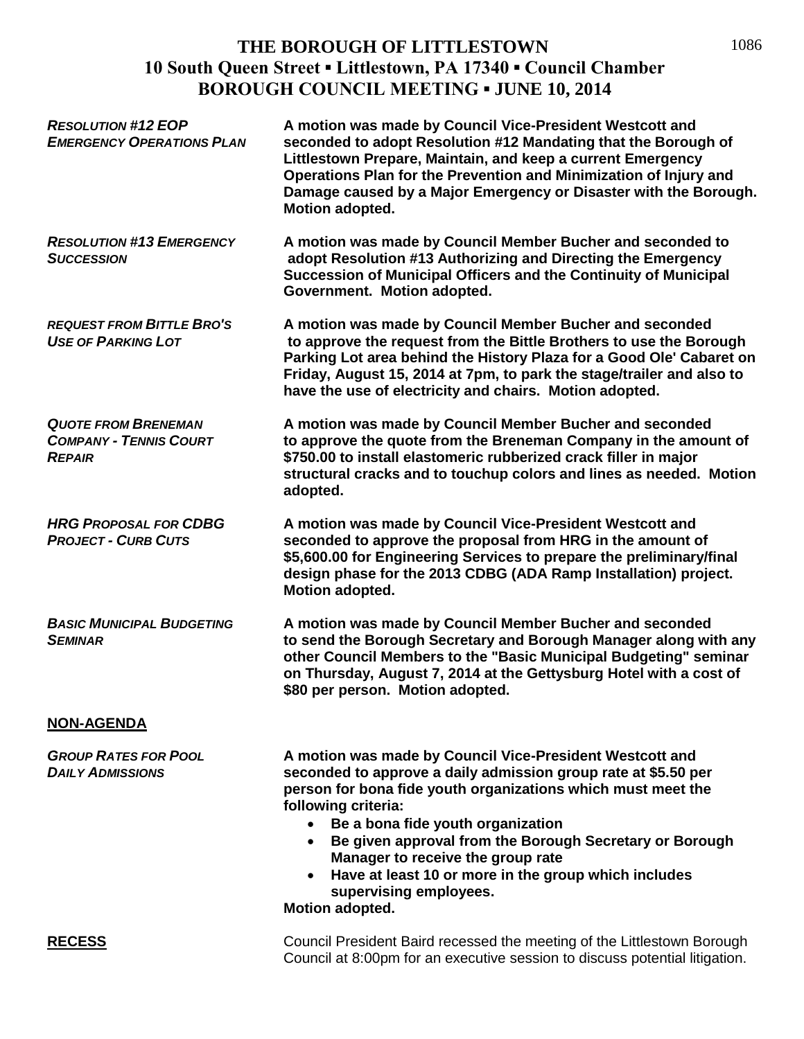## **THE BOROUGH OF LITTLESTOWN 10 South Queen Street ▪ Littlestown, PA 17340 ▪ Council Chamber BOROUGH COUNCIL MEETING ▪ JUNE 10, 2014**

| <b>RESOLUTION #12 EOP</b><br><b>EMERGENCY OPERATIONS PLAN</b>                | A motion was made by Council Vice-President Westcott and<br>seconded to adopt Resolution #12 Mandating that the Borough of<br>Littlestown Prepare, Maintain, and keep a current Emergency<br>Operations Plan for the Prevention and Minimization of Injury and<br>Damage caused by a Major Emergency or Disaster with the Borough.<br>Motion adopted.                                                                                                                      |
|------------------------------------------------------------------------------|----------------------------------------------------------------------------------------------------------------------------------------------------------------------------------------------------------------------------------------------------------------------------------------------------------------------------------------------------------------------------------------------------------------------------------------------------------------------------|
| <b>RESOLUTION #13 EMERGENCY</b><br><b>SUCCESSION</b>                         | A motion was made by Council Member Bucher and seconded to<br>adopt Resolution #13 Authorizing and Directing the Emergency<br>Succession of Municipal Officers and the Continuity of Municipal<br>Government. Motion adopted.                                                                                                                                                                                                                                              |
| <b>REQUEST FROM BITTLE BRO'S</b><br><b>USE OF PARKING LOT</b>                | A motion was made by Council Member Bucher and seconded<br>to approve the request from the Bittle Brothers to use the Borough<br>Parking Lot area behind the History Plaza for a Good Ole' Cabaret on<br>Friday, August 15, 2014 at 7pm, to park the stage/trailer and also to<br>have the use of electricity and chairs. Motion adopted.                                                                                                                                  |
| <b>QUOTE FROM BRENEMAN</b><br><b>COMPANY - TENNIS COURT</b><br><b>REPAIR</b> | A motion was made by Council Member Bucher and seconded<br>to approve the quote from the Breneman Company in the amount of<br>\$750.00 to install elastomeric rubberized crack filler in major<br>structural cracks and to touchup colors and lines as needed. Motion<br>adopted.                                                                                                                                                                                          |
| <b>HRG PROPOSAL FOR CDBG</b><br><b>PROJECT - CURB CUTS</b>                   | A motion was made by Council Vice-President Westcott and<br>seconded to approve the proposal from HRG in the amount of<br>\$5,600.00 for Engineering Services to prepare the preliminary/final<br>design phase for the 2013 CDBG (ADA Ramp Installation) project.<br>Motion adopted.                                                                                                                                                                                       |
| <b>BASIC MUNICIPAL BUDGETING</b><br><b>SEMINAR</b>                           | A motion was made by Council Member Bucher and seconded<br>to send the Borough Secretary and Borough Manager along with any<br>other Council Members to the "Basic Municipal Budgeting" seminar<br>on Thursday, August 7, 2014 at the Gettysburg Hotel with a cost of<br>\$80 per person. Motion adopted.                                                                                                                                                                  |
| <b>NON-AGENDA</b>                                                            |                                                                                                                                                                                                                                                                                                                                                                                                                                                                            |
| <b>GROUP RATES FOR POOL</b><br><b>DAILY ADMISSIONS</b>                       | A motion was made by Council Vice-President Westcott and<br>seconded to approve a daily admission group rate at \$5.50 per<br>person for bona fide youth organizations which must meet the<br>following criteria:<br>• Be a bona fide youth organization<br>Be given approval from the Borough Secretary or Borough<br>Manager to receive the group rate<br>Have at least 10 or more in the group which includes<br>$\bullet$<br>supervising employees.<br>Motion adopted. |
| <b>RECESS</b>                                                                | Council President Baird recessed the meeting of the Littlestown Borough<br>Council at 8:00pm for an executive session to discuss potential litigation.                                                                                                                                                                                                                                                                                                                     |